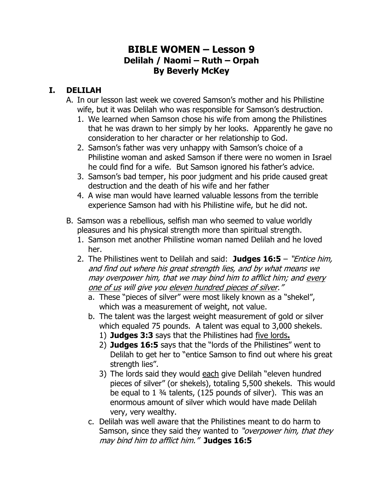## **BIBLE WOMEN – Lesson 9 Delilah / Naomi – Ruth – Orpah By Beverly McKey**

## **I. DELILAH**

- A. In our lesson last week we covered Samson's mother and his Philistine wife, but it was Delilah who was responsible for Samson's destruction.
	- 1. We learned when Samson chose his wife from among the Philistines that he was drawn to her simply by her looks. Apparently he gave no consideration to her character or her relationship to God.
	- 2. Samson's father was very unhappy with Samson's choice of a Philistine woman and asked Samson if there were no women in Israel he could find for a wife. But Samson ignored his father's advice.
	- 3. Samson's bad temper, his poor judgment and his pride caused great destruction and the death of his wife and her father
	- 4. A wise man would have learned valuable lessons from the terrible experience Samson had with his Philistine wife, but he did not.
- B. Samson was a rebellious, selfish man who seemed to value worldly pleasures and his physical strength more than spiritual strength.
	- 1. Samson met another Philistine woman named Delilah and he loved her.
	- 2. The Philistines went to Delilah and said: **Judges 16:5** "Entice him, and find out where his great strength lies, and by what means we may overpower him, that we may bind him to afflict him; and every one of us will give you eleven hundred pieces of silver."
		- a. These "pieces of silver" were most likely known as a "shekel", which was a measurement of weight, not value.
		- b. The talent was the largest weight measurement of gold or silver which equaled 75 pounds. A talent was equal to 3,000 shekels.
			- 1) **Judges 3:3** says that the Philistines had five lords**.**
			- 2) **Judges 16:5** says that the "lords of the Philistines" went to Delilah to get her to "entice Samson to find out where his great strength lies".
			- 3) The lords said they would each give Delilah "eleven hundred pieces of silver" (or shekels), totaling 5,500 shekels. This would be equal to 1 ¾ talents, (125 pounds of silver). This was an enormous amount of silver which would have made Delilah very, very wealthy.
		- c. Delilah was well aware that the Philistines meant to do harm to Samson, since they said they wanted to "overpower him, that they may bind him to afflict him." **Judges 16:5**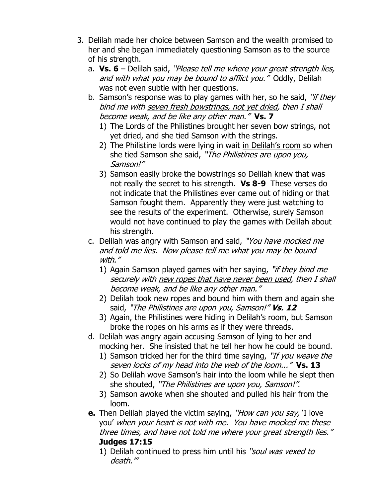- 3. Delilah made her choice between Samson and the wealth promised to her and she began immediately questioning Samson as to the source of his strength.
	- a. **Vs. 6** Delilah said, "Please tell me where your great strength lies, and with what you may be bound to afflict you."Oddly, Delilah was not even subtle with her questions.
	- b. Samson's response was to play games with her, so he said, "if they bind me with seven fresh bowstrings, not yet dried, then I shall become weak, and be like any other man." **Vs. 7**
		- 1) The Lords of the Philistines brought her seven bow strings, not yet dried, and she tied Samson with the strings.
		- 2) The Philistine lords were lying in wait in Delilah's room so when she tied Samson she said, "The Philistines are upon you, Samson!"
		- 3) Samson easily broke the bowstrings so Delilah knew that was not really the secret to his strength. **Vs 8-9** These verses do not indicate that the Philistines ever came out of hiding or that Samson fought them. Apparently they were just watching to see the results of the experiment. Otherwise, surely Samson would not have continued to play the games with Delilah about his strength.
	- c. Delilah was angry with Samson and said, "You have mocked me and told me lies. Now please tell me what you may be bound with."
		- 1) Again Samson played games with her saying, "*if they bind me* securely with new ropes that have never been used, then I shall become weak, and be like any other man."
		- 2) Delilah took new ropes and bound him with them and again she said, "The Philistines are upon you, Samson!" **Vs. 12**
		- 3) Again, the Philistines were hiding in Delilah's room, but Samson broke the ropes on his arms as if they were threads.
	- d. Delilah was angry again accusing Samson of lying to her and mocking her. She insisted that he tell her how he could be bound.
		- 1) Samson tricked her for the third time saying, "If you weave the seven locks of my head into the web of the loom..." **Vs. 13**
		- 2) So Delilah wove Samson's hair into the loom while he slept then she shouted, "The Philistines are upon you, Samson!".
		- 3) Samson awoke when she shouted and pulled his hair from the loom.
	- **e.** Then Delilah played the victim saying, "How can you say, 'I love you' when your heart is not with me. You have mocked me these three times, and have not told me where your great strength lies." **Judges 17:15**
		- 1) Delilah continued to press him until his "soul was vexed to death."'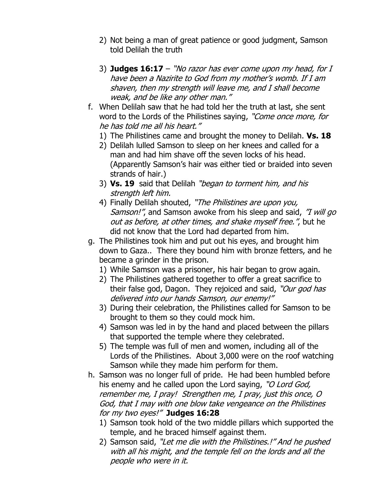- 2) Not being a man of great patience or good judgment, Samson told Delilah the truth
- 3) **Judges 16:17** "No razor has ever come upon my head, for I have been a Nazirite to God from my mother's womb. If I am shaven, then my strength will leave me, and I shall become weak, and be like any other man."
- f. When Delilah saw that he had told her the truth at last, she sent word to the Lords of the Philistines saying, "Come once more, for he has told me all his heart."
	- 1) The Philistines came and brought the money to Delilah. **Vs. 18**
	- 2) Delilah lulled Samson to sleep on her knees and called for a man and had him shave off the seven locks of his head. (Apparently Samson's hair was either tied or braided into seven strands of hair.)
	- 3) **Vs. 19** said that Delilah "began to torment him, and his strength left him.
	- 4) Finally Delilah shouted, "The Philistines are upon you, Samson!", and Samson awoke from his sleep and said, "I will go out as before, at other times, and shake myself free.", but he did not know that the Lord had departed from him.
- g. The Philistines took him and put out his eyes, and brought him down to Gaza.. There they bound him with bronze fetters, and he became a grinder in the prison.
	- 1) While Samson was a prisoner, his hair began to grow again.
	- 2) The Philistines gathered together to offer a great sacrifice to their false god, Dagon. They rejoiced and said, "Our god has delivered into our hands Samson, our enemy!"
	- 3) During their celebration, the Philistines called for Samson to be brought to them so they could mock him.
	- 4) Samson was led in by the hand and placed between the pillars that supported the temple where they celebrated.
	- 5) The temple was full of men and women, including all of the Lords of the Philistines. About 3,000 were on the roof watching Samson while they made him perform for them.
- h. Samson was no longer full of pride. He had been humbled before his enemy and he called upon the Lord saying, "O Lord God, remember me, I pray! Strengthen me, I pray, just this once, O God, that I may with one blow take vengeance on the Philistines for my two eyes!" **Judges 16:28**
	- 1) Samson took hold of the two middle pillars which supported the temple, and he braced himself against them.
	- 2) Samson said, "Let me die with the Philistines.!" And he pushed with all his might, and the temple fell on the lords and all the people who were in it.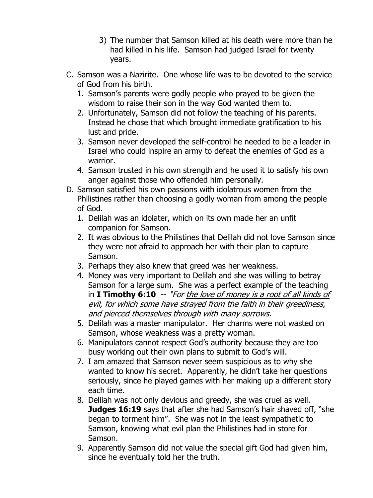- 3) The number that Samson killed at his death were more than he had killed in his life. Samson had judged Israel for twenty years.
- C. Samson was a Nazirite. One whose life was to be devoted to the service of God from his birth.
	- 1. Samson's parents were godly people who prayed to be given the wisdom to raise their son in the way God wanted them to.
	- 2. Unfortunately, Samson did not follow the teaching of his parents. Instead he chose that which brought immediate gratification to his lust and pride.
	- 3. Samson never developed the self-control he needed to be a leader in Israel who could inspire an army to defeat the enemies of God as a warrior.
	- 4. Samson trusted in his own strength and he used it to satisfy his own anger against those who offended him personally.
- D. Samson satisfied his own passions with idolatrous women from the Philistines rather than choosing a godly woman from among the people of God.
	- 1. Delilah was an idolater, which on its own made her an unfit companion for Samson.
	- 2. It was obvious to the Philistines that Delilah did not love Samson since they were not afraid to approach her with their plan to capture Samson.
	- 3. Perhaps they also knew that greed was her weakness.
	- 4. Money was very important to Delilah and she was willing to betray Samson for a large sum. She was a perfect example of the teaching in **I Timothy 6:10** -- "For the love of money is a root of all kinds of evil, for which some have strayed from the faith in their greediness, and pierced themselves through with many sorrows.
	- 5. Delilah was a master manipulator. Her charms were not wasted on Samson, whose weakness was a pretty woman.
	- 6. Manipulators cannot respect God's authority because they are too busy working out their own plans to submit to God's will.
	- 7. I am amazed that Samson never seem suspicious as to why she wanted to know his secret. Apparently, he didn't take her questions seriously, since he played games with her making up a different story each time.
	- 8. Delilah was not only devious and greedy, she was cruel as well. **Judges 16:19** says that after she had Samson's hair shaved off, "she began to torment him". She was not in the least sympathetic to Samson, knowing what evil plan the Philistines had in store for Samson.
	- 9. Apparently Samson did not value the special gift God had given him, since he eventually told her the truth.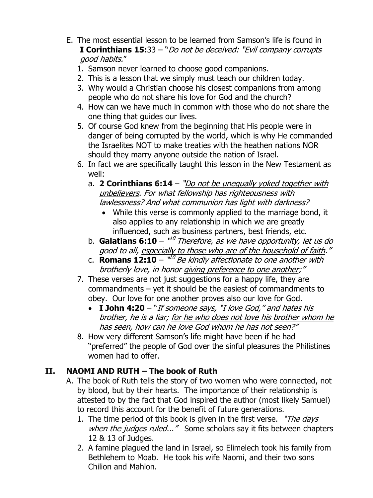- E. The most essential lesson to be learned from Samson's life is found in **I Corinthians 15:**33 – "Do not be deceived: "Evil company corrupts good habits."
	- 1. Samson never learned to choose good companions.
	- 2. This is a lesson that we simply must teach our children today.
	- 3. Why would a Christian choose his closest companions from among people who do not share his love for God and the church?
	- 4. How can we have much in common with those who do not share the one thing that guides our lives.
	- 5. Of course God knew from the beginning that His people were in danger of being corrupted by the world, which is why He commanded the Israelites NOT to make treaties with the heathen nations NOR should they marry anyone outside the nation of Israel.
	- 6. In fact we are specifically taught this lesson in the New Testament as well:
		- a. **[2 Corinthians 6:14](https://www.biblegateway.com/passage/?search=2%20Corinthians%206:14&version=NKJV)** "Do not be unequally yoked together with unbelievers. For what fellowship has righteousness with lawlessness? And what communion has light with darkness?
			- While this verse is commonly applied to the marriage bond, it also applies to any relationship in which we are greatly influenced, such as business partners, best friends, etc.
		- b. **Galatians 6:10** " 10 Therefore, as we have opportunity, let us do good to all, especially to those who are of the household of faith."
		- c. **Romans 12:10** "<sup>10</sup> Be kindly affectionate to one another with brotherly love, in honor giving preference to one another;"
	- 7. These verses are not just suggestions for a happy life, they are commandments – yet it should be the easiest of commandments to obey. Our love for one another proves also our love for God.
		- **I John 4:20** "If someone says, "I love God," and hates his brother, he is a liar; for he who does not love his brother whom he has seen, how can he love God whom he has not seen?"
	- 8. How very different Samson's life might have been if he had "preferred" the people of God over the sinful pleasures the Philistines women had to offer.

## **II. NAOMI AND RUTH – The book of Ruth**

- A. The book of Ruth tells the story of two women who were connected, not by blood, but by their hearts. The importance of their relationship is attested to by the fact that God inspired the author (most likely Samuel) to record this account for the benefit of future generations.
	- 1. The time period of this book is given in the first verse. "The days" when the judges ruled..." Some scholars say it fits between chapters 12 & 13 of Judges.
	- 2. A famine plagued the land in Israel, so Elimelech took his family from Bethlehem to Moab. He took his wife Naomi, and their two sons Chilion and Mahlon.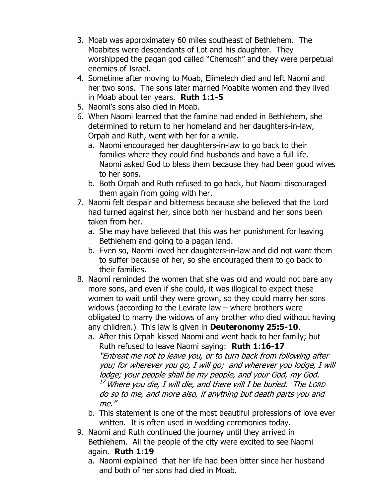- 3. Moab was approximately 60 miles southeast of Bethlehem. The Moabites were descendants of Lot and his daughter. They worshipped the pagan god called "Chemosh" and they were perpetual enemies of Israel.
- 4. Sometime after moving to Moab, Elimelech died and left Naomi and her two sons. The sons later married Moabite women and they lived in Moab about ten years. **Ruth 1:1-5**
- 5. Naomi's sons also died in Moab.
- 6. When Naomi learned that the famine had ended in Bethlehem, she determined to return to her homeland and her daughters-in-law, Orpah and Ruth, went with her for a while.
	- a. Naomi encouraged her daughters-in-law to go back to their families where they could find husbands and have a full life. Naomi asked God to bless them because they had been good wives to her sons.
	- b. Both Orpah and Ruth refused to go back, but Naomi discouraged them again from going with her.
- 7. Naomi felt despair and bitterness because she believed that the Lord had turned against her, since both her husband and her sons been taken from her.
	- a. She may have believed that this was her punishment for leaving Bethlehem and going to a pagan land.
	- b. Even so, Naomi loved her daughters-in-law and did not want them to suffer because of her, so she encouraged them to go back to their families.
- 8. Naomi reminded the women that she was old and would not bare any more sons, and even if she could, it was illogical to expect these women to wait until they were grown, so they could marry her sons widows (according to the Levirate law – where brothers were obligated to marry the widows of any brother who died without having any children.) This law is given in **Deuteronomy 25:5-10**.
	- a. After this Orpah kissed Naomi and went back to her family; but Ruth refused to leave Naomi saying: **Ruth 1:16-17** "Entreat me not to leave you, or to turn back from following after you; for wherever you go, I will go; and wherever you lodge, I will lodge; your people shall be my people, and your God, my God.  $^{17}$  Where you die, I will die, and there will I be buried. The LORD do so to me, and more also, if anything but death parts you and me."
	- b. This statement is one of the most beautiful professions of love ever written. It is often used in wedding ceremonies today.
- 9. Naomi and Ruth continued the journey until they arrived in Bethlehem. All the people of the city were excited to see Naomi again. **Ruth 1:19**
	- a. Naomi explained that her life had been bitter since her husband and both of her sons had died in Moab.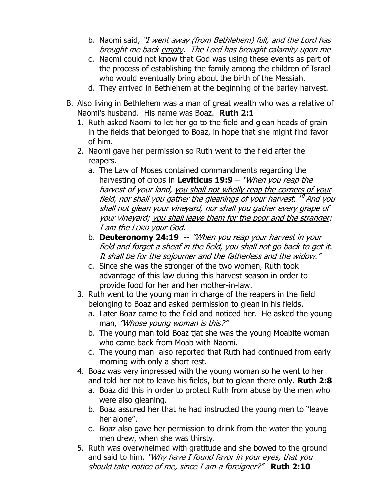- b. Naomi said, "I went away (from Bethlehem) full, and the Lord has brought me back empty. The Lord has brought calamity upon me
- c. Naomi could not know that God was using these events as part of the process of establishing the family among the children of Israel who would eventually bring about the birth of the Messiah.
- d. They arrived in Bethlehem at the beginning of the barley harvest.
- B. Also living in Bethlehem was a man of great wealth who was a relative of Naomi's husband. His name was Boaz. **Ruth 2:1**
	- 1. Ruth asked Naomi to let her go to the field and glean heads of grain in the fields that belonged to Boaz, in hope that she might find favor of him.
	- 2. Naomi gave her permission so Ruth went to the field after the reapers.
		- a. The Law of Moses contained commandments regarding the harvesting of crops in **Leviticus 19:9** – "When you reap the harvest of your land, you shall not wholly reap the corners of your field, nor shall you gather the gleanings of your harvest. <sup>10</sup> And you shall not glean your vineyard, nor shall you gather every grape of your vineyard; you shall leave them for the poor and the stranger: I am the LORD your God.
		- b. **Deuteronomy 24:19** -- "When you reap your harvest in your field and forget a sheaf in the field, you shall not go back to get it. It shall be for the sojourner and the fatherless and the widow."
		- c. Since she was the stronger of the two women, Ruth took advantage of this law during this harvest season in order to provide food for her and her mother-in-law.
	- 3. Ruth went to the young man in charge of the reapers in the field belonging to Boaz and asked permission to glean in his fields.
		- a. Later Boaz came to the field and noticed her. He asked the young man, "Whose young woman is this?"
		- b. The young man told Boaz tjat she was the young Moabite woman who came back from Moab with Naomi.
		- c. The young man also reported that Ruth had continued from early morning with only a short rest.
	- 4. Boaz was very impressed with the young woman so he went to her and told her not to leave his fields, but to glean there only. **Ruth 2:8**
		- a. Boaz did this in order to protect Ruth from abuse by the men who were also gleaning.
		- b. Boaz assured her that he had instructed the young men to "leave her alone".
		- c. Boaz also gave her permission to drink from the water the young men drew, when she was thirsty.
	- 5. Ruth was overwhelmed with gratitude and she bowed to the ground and said to him, "Why have I found favor in your eyes, that you should take notice of me, since I am a foreigner?" **Ruth 2:10**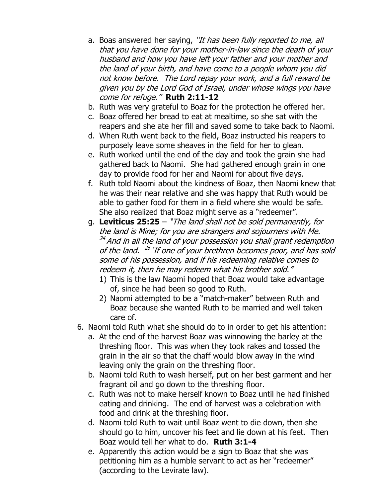- a. Boas answered her saying, "It has been fully reported to me, all that you have done for your mother-in-law since the death of your husband and how you have left your father and your mother and the land of your birth, and have come to a people whom you did not know before. The Lord repay your work, and a full reward be given you by the Lord God of Israel, under whose wings you have come for refuge." **Ruth 2:11-12**
- b. Ruth was very grateful to Boaz for the protection he offered her.
- c. Boaz offered her bread to eat at mealtime, so she sat with the reapers and she ate her fill and saved some to take back to Naomi.
- d. When Ruth went back to the field, Boaz instructed his reapers to purposely leave some sheaves in the field for her to glean.
- e. Ruth worked until the end of the day and took the grain she had gathered back to Naomi. She had gathered enough grain in one day to provide food for her and Naomi for about five days.
- f. Ruth told Naomi about the kindness of Boaz, then Naomi knew that he was their near relative and she was happy that Ruth would be able to gather food for them in a field where she would be safe. She also realized that Boaz might serve as a "redeemer".
- g. **Leviticus 25:25** "The land shall not be sold permanently, for the land is Mine; for you are strangers and sojourners with Me. <sup>24</sup> And in all the land of your possession you shall grant redemption of the land. <sup>25</sup> 'If one of your brethren becomes poor, and has sold some of his possession, and if his redeeming relative comes to redeem it, then he may redeem what his brother sold."
	- 1) This is the law Naomi hoped that Boaz would take advantage of, since he had been so good to Ruth.
	- 2) Naomi attempted to be a "match-maker" between Ruth and Boaz because she wanted Ruth to be married and well taken care of.
- 6. Naomi told Ruth what she should do to in order to get his attention:
	- a. At the end of the harvest Boaz was winnowing the barley at the threshing floor. This was when they took rakes and tossed the grain in the air so that the chaff would blow away in the wind leaving only the grain on the threshing floor.
	- b. Naomi told Ruth to wash herself, put on her best garment and her fragrant oil and go down to the threshing floor.
	- c. Ruth was not to make herself known to Boaz until he had finished eating and drinking. The end of harvest was a celebration with food and drink at the threshing floor.
	- d. Naomi told Ruth to wait until Boaz went to die down, then she should go to him, uncover his feet and lie down at his feet. Then Boaz would tell her what to do. **Ruth 3:1-4**
	- e. Apparently this action would be a sign to Boaz that she was petitioning him as a humble servant to act as her "redeemer" (according to the Levirate law).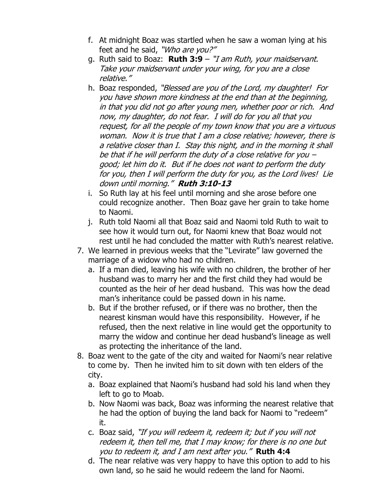- f. At midnight Boaz was startled when he saw a woman lying at his feet and he said, "Who are you?"
- g. Ruth said to Boaz: **Ruth 3:9** "I am Ruth, your maidservant. Take your maidservant under your wing, for you are a close relative."
- h. Boaz responded, "*Blessed are you of the Lord, my daughter! For* you have shown more kindness at the end than at the beginning, in that you did not go after young men, whether poor or rich. And now, my daughter, do not fear. I will do for you all that you request, for all the people of my town know that you are a virtuous woman. Now it is true that I am a close relative; however, there is a relative closer than I. Stay this night, and in the morning it shall be that if he will perform the duty of a close relative for you – good; let him do it. But if he does not want to perform the duty for you, then I will perform the duty for you, as the Lord lives! Lie down until morning." **Ruth 3:10-13**
- i. So Ruth lay at his feel until morning and she arose before one could recognize another. Then Boaz gave her grain to take home to Naomi.
- j. Ruth told Naomi all that Boaz said and Naomi told Ruth to wait to see how it would turn out, for Naomi knew that Boaz would not rest until he had concluded the matter with Ruth's nearest relative.
- 7. We learned in previous weeks that the "Levirate" law governed the marriage of a widow who had no children.
	- a. If a man died, leaving his wife with no children, the brother of her husband was to marry her and the first child they had would be counted as the heir of her dead husband. This was how the dead man's inheritance could be passed down in his name.
	- b. But if the brother refused, or if there was no brother, then the nearest kinsman would have this responsibility. However, if he refused, then the next relative in line would get the opportunity to marry the widow and continue her dead husband's lineage as well as protecting the inheritance of the land.
- 8. Boaz went to the gate of the city and waited for Naomi's near relative to come by. Then he invited him to sit down with ten elders of the city.
	- a. Boaz explained that Naomi's husband had sold his land when they left to go to Moab.
	- b. Now Naomi was back, Boaz was informing the nearest relative that he had the option of buying the land back for Naomi to "redeem" it.
	- c. Boaz said, "If you will redeem it, redeem it; but if you will not redeem it, then tell me, that I may know; for there is no one but you to redeem it, and I am next after you." **Ruth 4:4**
	- d. The near relative was very happy to have this option to add to his own land, so he said he would redeem the land for Naomi.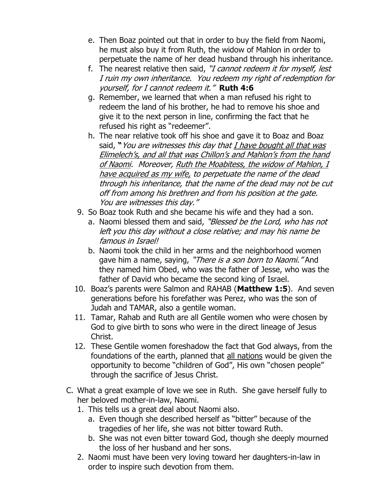- e. Then Boaz pointed out that in order to buy the field from Naomi, he must also buy it from Ruth, the widow of Mahlon in order to perpetuate the name of her dead husband through his inheritance.
- f. The nearest relative then said, "I cannot redeem it for myself, lest I ruin my own inheritance. You redeem my right of redemption for yourself, for I cannot redeem it." **Ruth 4:6**
- g. Remember, we learned that when a man refused his right to redeem the land of his brother, he had to remove his shoe and give it to the next person in line, confirming the fact that he refused his right as "redeemer".
- h. The near relative took off his shoe and gave it to Boaz and Boaz said, "*You are witnesses this day that I have bought all that was* Elimelech's, and all that was Chillon's and Mahlon's from the hand of Naomi. Moreover, Ruth the Moabitess, the widow of Mahlon, I have acquired as my wife, to perpetuate the name of the dead through his inheritance, that the name of the dead may not be cut off from among his brethren and from his position at the gate. You are witnesses this day."
- 9. So Boaz took Ruth and she became his wife and they had a son.
	- a. Naomi blessed them and said, "Blessed be the Lord, who has not left you this day without a close relative; and may his name be famous in Israel!
	- b. Naomi took the child in her arms and the neighborhood women gave him a name, saying, "There is a son born to Naomi." And they named him Obed, who was the father of Jesse, who was the father of David who became the second king of Israel.
- 10. Boaz's parents were Salmon and RAHAB (**Matthew 1:5**). And seven generations before his forefather was Perez, who was the son of Judah and TAMAR, also a gentile woman.
- 11. Tamar, Rahab and Ruth are all Gentile women who were chosen by God to give birth to sons who were in the direct lineage of Jesus Christ.
- 12. These Gentile women foreshadow the fact that God always, from the foundations of the earth, planned that all nations would be given the opportunity to become "children of God", His own "chosen people" through the sacrifice of Jesus Christ.
- C. What a great example of love we see in Ruth. She gave herself fully to her beloved mother-in-law, Naomi.
	- 1. This tells us a great deal about Naomi also.
		- a. Even though she described herself as "bitter" because of the tragedies of her life, she was not bitter toward Ruth.
		- b. She was not even bitter toward God, though she deeply mourned the loss of her husband and her sons.
	- 2. Naomi must have been very loving toward her daughters-in-law in order to inspire such devotion from them.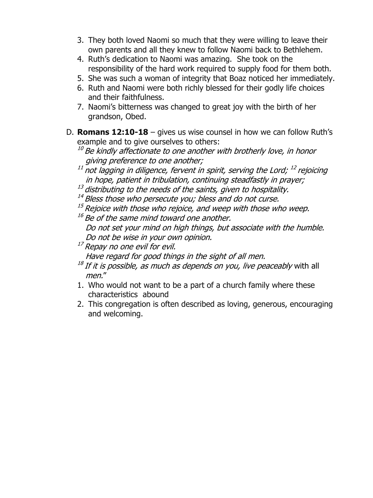- 3. They both loved Naomi so much that they were willing to leave their own parents and all they knew to follow Naomi back to Bethlehem.
- 4. Ruth's dedication to Naomi was amazing. She took on the responsibility of the hard work required to supply food for them both.
- 5. She was such a woman of integrity that Boaz noticed her immediately.
- 6. Ruth and Naomi were both richly blessed for their godly life choices and their faithfulness.
- 7. Naomi's bitterness was changed to great joy with the birth of her grandson, Obed.
- D. **Romans 12:10-18** gives us wise counsel in how we can follow Ruth's example and to give ourselves to others:
	- $^{10}$  Be kindly affectionate to one another with brotherly love, in honor giving preference to one another;
	- $^\text{11}$  not lagging in diligence, fervent in spirit, serving the Lord;  $^\text{12}$  rejoicing in hope, patient in tribulation, continuing steadfastly in prayer;
	- $^\text{\tiny{13}}$  distributing to the needs of the saints, given to hospitality.
	- <sup>14</sup> Bless those who persecute you; bless and do not curse.
	- $^{15}$  Rejoice with those who rejoice, and weep with those who weep.
	- $^{16}$  Be of the same mind toward one another. Do not set your mind on high things, but associate with the humble. Do not be wise in your own opinion.
	- $17$  Repay no one evil for evil.

Have regard for good things in the sight of all men.

- <sup>18</sup> If it is possible, as much as depends on you, live peaceably with all men."
- 1. Who would not want to be a part of a church family where these characteristics abound
- 2. This congregation is often described as loving, generous, encouraging and welcoming.